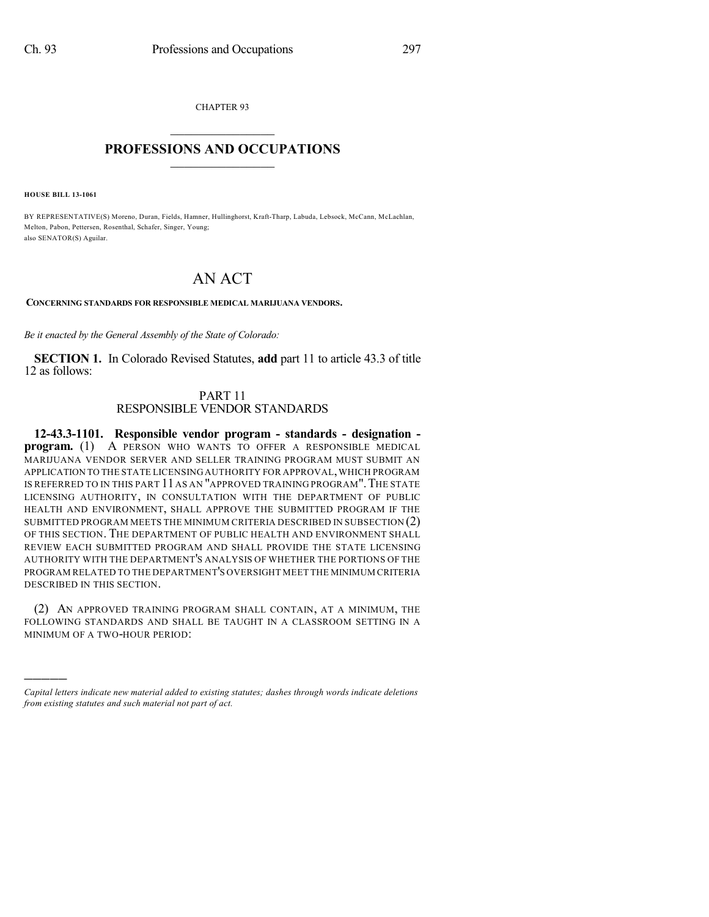CHAPTER 93

## $\mathcal{L}_\text{max}$  . The set of the set of the set of the set of the set of the set of the set of the set of the set of the set of the set of the set of the set of the set of the set of the set of the set of the set of the set **PROFESSIONS AND OCCUPATIONS**  $\frac{1}{2}$  ,  $\frac{1}{2}$  ,  $\frac{1}{2}$  ,  $\frac{1}{2}$  ,  $\frac{1}{2}$  ,  $\frac{1}{2}$

**HOUSE BILL 13-1061**

)))))

BY REPRESENTATIVE(S) Moreno, Duran, Fields, Hamner, Hullinghorst, Kraft-Tharp, Labuda, Lebsock, McCann, McLachlan, Melton, Pabon, Pettersen, Rosenthal, Schafer, Singer, Young; also SENATOR(S) Aguilar.

## AN ACT

**CONCERNING STANDARDS FOR RESPONSIBLE MEDICAL MARIJUANA VENDORS.**

*Be it enacted by the General Assembly of the State of Colorado:*

**SECTION 1.** In Colorado Revised Statutes, **add** part 11 to article 43.3 of title 12 as follows:

## PART 11 RESPONSIBLE VENDOR STANDARDS

**12-43.3-1101. Responsible vendor program - standards - designation program.** (1) A PERSON WHO WANTS TO OFFER A RESPONSIBLE MEDICAL MARIJUANA VENDOR SERVER AND SELLER TRAINING PROGRAM MUST SUBMIT AN APPLICATION TO THE STATE LICENSING AUTHORITY FOR APPROVAL,WHICH PROGRAM IS REFERRED TO IN THIS PART 11 AS AN "APPROVED TRAINING PROGRAM". THE STATE LICENSING AUTHORITY, IN CONSULTATION WITH THE DEPARTMENT OF PUBLIC HEALTH AND ENVIRONMENT, SHALL APPROVE THE SUBMITTED PROGRAM IF THE SUBMITTED PROGRAM MEETS THE MINIMUM CRITERIA DESCRIBED IN SUBSECTION (2) OF THIS SECTION. THE DEPARTMENT OF PUBLIC HEALTH AND ENVIRONMENT SHALL REVIEW EACH SUBMITTED PROGRAM AND SHALL PROVIDE THE STATE LICENSING AUTHORITY WITH THE DEPARTMENT'S ANALYSIS OF WHETHER THE PORTIONS OF THE PROGRAM RELATED TO THE DEPARTMENT'S OVERSIGHT MEET THE MINIMUM CRITERIA DESCRIBED IN THIS SECTION.

(2) AN APPROVED TRAINING PROGRAM SHALL CONTAIN, AT A MINIMUM, THE FOLLOWING STANDARDS AND SHALL BE TAUGHT IN A CLASSROOM SETTING IN A MINIMUM OF A TWO-HOUR PERIOD:

*Capital letters indicate new material added to existing statutes; dashes through words indicate deletions from existing statutes and such material not part of act.*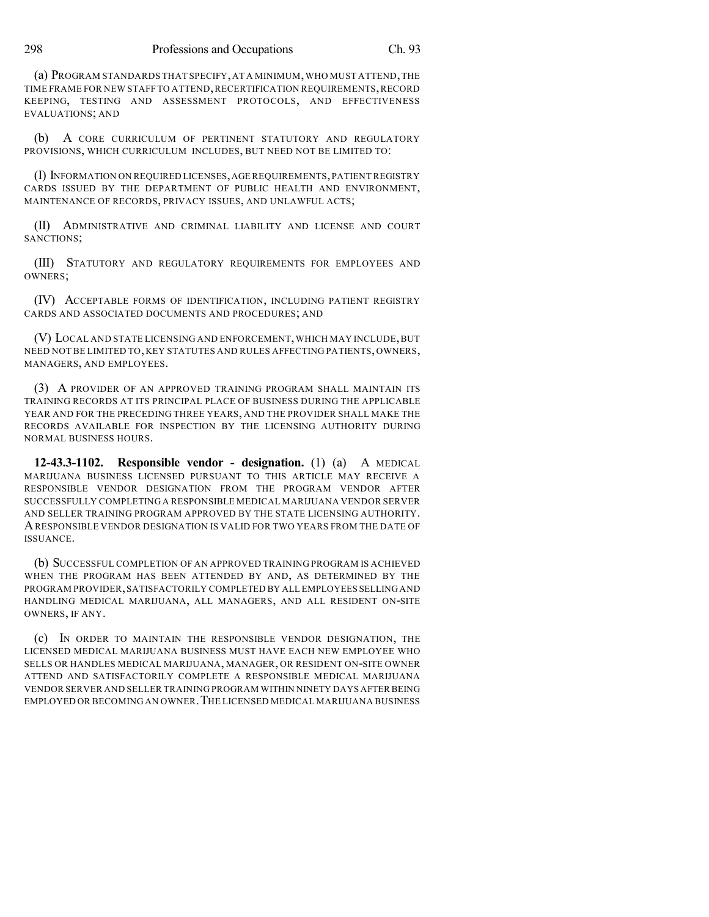(a) PROGRAM STANDARDS THAT SPECIFY,AT A MINIMUM,WHO MUST ATTEND,THE TIME FRAME FOR NEW STAFF TO ATTEND,RECERTIFICATION REQUIREMENTS,RECORD KEEPING, TESTING AND ASSESSMENT PROTOCOLS, AND EFFECTIVENESS EVALUATIONS; AND

(b) A CORE CURRICULUM OF PERTINENT STATUTORY AND REGULATORY PROVISIONS, WHICH CURRICULUM INCLUDES, BUT NEED NOT BE LIMITED TO:

(I) INFORMATION ON REQUIRED LICENSES,AGE REQUIREMENTS,PATIENT REGISTRY CARDS ISSUED BY THE DEPARTMENT OF PUBLIC HEALTH AND ENVIRONMENT, MAINTENANCE OF RECORDS, PRIVACY ISSUES, AND UNLAWFUL ACTS;

(II) ADMINISTRATIVE AND CRIMINAL LIABILITY AND LICENSE AND COURT SANCTIONS;

(III) STATUTORY AND REGULATORY REQUIREMENTS FOR EMPLOYEES AND OWNERS;

(IV) ACCEPTABLE FORMS OF IDENTIFICATION, INCLUDING PATIENT REGISTRY CARDS AND ASSOCIATED DOCUMENTS AND PROCEDURES; AND

(V) LOCAL AND STATE LICENSING AND ENFORCEMENT,WHICH MAY INCLUDE,BUT NEED NOT BE LIMITED TO, KEY STATUTES AND RULES AFFECTING PATIENTS, OWNERS, MANAGERS, AND EMPLOYEES.

(3) A PROVIDER OF AN APPROVED TRAINING PROGRAM SHALL MAINTAIN ITS TRAINING RECORDS AT ITS PRINCIPAL PLACE OF BUSINESS DURING THE APPLICABLE YEAR AND FOR THE PRECEDING THREE YEARS, AND THE PROVIDER SHALL MAKE THE RECORDS AVAILABLE FOR INSPECTION BY THE LICENSING AUTHORITY DURING NORMAL BUSINESS HOURS.

**12-43.3-1102. Responsible vendor - designation.** (1) (a) A MEDICAL MARIJUANA BUSINESS LICENSED PURSUANT TO THIS ARTICLE MAY RECEIVE A RESPONSIBLE VENDOR DESIGNATION FROM THE PROGRAM VENDOR AFTER SUCCESSFULLY COMPLETING A RESPONSIBLE MEDICAL MARIJUANA VENDOR SERVER AND SELLER TRAINING PROGRAM APPROVED BY THE STATE LICENSING AUTHORITY. ARESPONSIBLE VENDOR DESIGNATION IS VALID FOR TWO YEARS FROM THE DATE OF ISSUANCE.

(b) SUCCESSFUL COMPLETION OF AN APPROVED TRAINING PROGRAM IS ACHIEVED WHEN THE PROGRAM HAS BEEN ATTENDED BY AND, AS DETERMINED BY THE PROGRAM PROVIDER,SATISFACTORILY COMPLETED BY ALL EMPLOYEES SELLINGAND HANDLING MEDICAL MARIJUANA, ALL MANAGERS, AND ALL RESIDENT ON-SITE OWNERS, IF ANY.

(c) IN ORDER TO MAINTAIN THE RESPONSIBLE VENDOR DESIGNATION, THE LICENSED MEDICAL MARIJUANA BUSINESS MUST HAVE EACH NEW EMPLOYEE WHO SELLS OR HANDLES MEDICAL MARIJUANA, MANAGER, OR RESIDENT ON-SITE OWNER ATTEND AND SATISFACTORILY COMPLETE A RESPONSIBLE MEDICAL MARIJUANA VENDOR SERVER AND SELLER TRAINING PROGRAM WITHIN NINETY DAYS AFTER BEING EMPLOYED OR BECOMING AN OWNER. THE LICENSED MEDICAL MARIJUANA BUSINESS